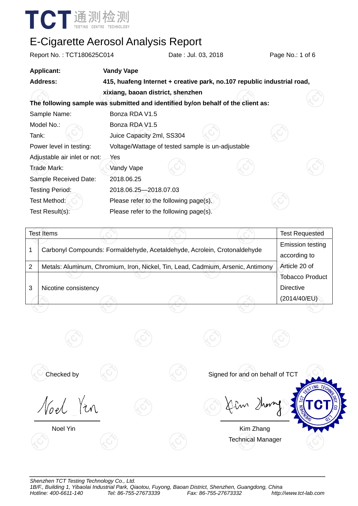

| Report No.: TCT180625C014                                                        |                                        | Date: Jul. 03, 2018                                                     | Page No.: 1 of 6 |  |
|----------------------------------------------------------------------------------|----------------------------------------|-------------------------------------------------------------------------|------------------|--|
| <b>Applicant:</b>                                                                | <b>Vandy Vape</b>                      |                                                                         |                  |  |
| <b>Address:</b>                                                                  |                                        | 415, huafeng Internet + creative park, no.107 republic industrial road, |                  |  |
|                                                                                  | xixiang, baoan district, shenzhen      |                                                                         |                  |  |
| The following sample was submitted and identified by/on behalf of the client as: |                                        |                                                                         |                  |  |
| Sample Name:                                                                     | Bonza RDA V1.5                         |                                                                         |                  |  |
| Model No.:                                                                       | Bonza RDA V1.5                         |                                                                         |                  |  |
| Tank:                                                                            | Juice Capacity 2ml, SS304              |                                                                         |                  |  |
| Power level in testing:                                                          |                                        | Voltage/Wattage of tested sample is un-adjustable                       |                  |  |
| Adjustable air inlet or not:                                                     | Yes                                    |                                                                         |                  |  |
| Trade Mark:                                                                      | Vandy Vape                             |                                                                         |                  |  |
| Sample Received Date:                                                            | 2018.06.25                             |                                                                         |                  |  |
| <b>Testing Period:</b>                                                           | 2018.06.25-2018.07.03                  |                                                                         |                  |  |
| Test Method:                                                                     | Please refer to the following page(s). |                                                                         |                  |  |
| Test Result(s):                                                                  | Please refer to the following page(s). |                                                                         |                  |  |

| <b>Test Items</b> |                                                                                 | <b>Test Requested</b>                   |
|-------------------|---------------------------------------------------------------------------------|-----------------------------------------|
|                   | Carbonyl Compounds: Formaldehyde, Acetaldehyde, Acrolein, Crotonaldehyde        | <b>Emission testing</b><br>according to |
| 2                 | Metals: Aluminum, Chromium, Iron, Nickel, Tin, Lead, Cadmium, Arsenic, Antimony | Article 20 of                           |
|                   |                                                                                 | <b>Tobacco Product</b>                  |
| 3                 | Nicotine consistency                                                            | <b>Directive</b>                        |
|                   |                                                                                 | (2014/40/EU)                            |
|                   |                                                                                 |                                         |

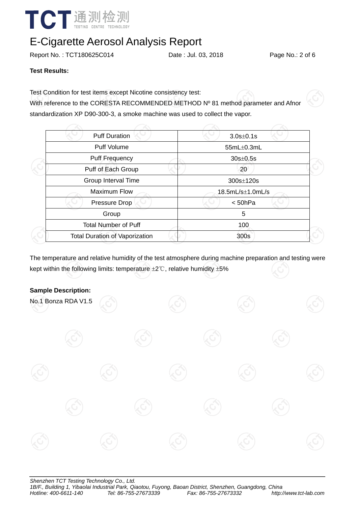

Report No. : TCT180625C014 Date : Jul. 03, 2018 Page No.: 2 of 6

#### **Test Results:**

Test Condition for test items except Nicotine consistency test:

With reference to the CORESTA RECOMMENDED METHOD Nº 81 method parameter and Afnor standardization XP D90-300-3, a smoke machine was used to collect the vapor.

| <b>Puff Duration</b>                  | $3.0s \pm 0.1s$      |  |
|---------------------------------------|----------------------|--|
| <b>Puff Volume</b>                    | 55mL±0.3mL           |  |
| <b>Puff Frequency</b>                 | $30s \pm 0.5s$       |  |
| Puff of Each Group                    | 20                   |  |
| Group Interval Time                   | 300s±120s            |  |
| <b>Maximum Flow</b>                   | $18.5mL/s\pm1.0mL/s$ |  |
| Pressure Drop                         | < 50hPa              |  |
| Group                                 | 5                    |  |
| <b>Total Number of Puff</b>           | 100                  |  |
| <b>Total Duration of Vaporization</b> | 300s                 |  |
|                                       |                      |  |

The temperature and relative humidity of the test atmosphere during machine preparation and testing were kept within the following limits: temperature ±2℃, relative humidity ±5%

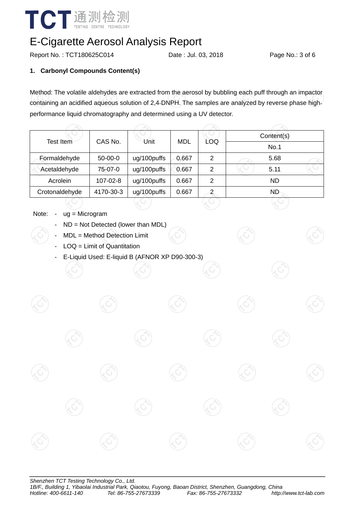

Report No.: TCT180625C014 Date : Jul. 03, 2018 Page No.: 3 of 6

### **1. Carbonyl Compounds Content(s)**

Method: The volatile aldehydes are extracted from the aerosol by bubbling each puff through an impactor containing an acidified aqueous solution of 2,4DNPH. The samples are analyzed by reverse phase highperformance liquid chromatography and determined using a UV detector.

|                | CAS No.   | Unit        | MDL   | LOQ            | Content(s) |  |  |
|----------------|-----------|-------------|-------|----------------|------------|--|--|
| Test Item      |           |             |       |                | No.1       |  |  |
| Formaldehyde   | $50-00-0$ | ug/100puffs | 0.667 | $\overline{2}$ | 5.68       |  |  |
| Acetaldehyde   | 75-07-0   | ug/100puffs | 0.667 | 2              | 5.11       |  |  |
| Acrolein       | 107-02-8  | ug/100puffs | 0.667 | 2              | <b>ND</b>  |  |  |
| Crotonaldehyde | 4170-30-3 | ug/100puffs | 0.667 | 2              | ND.        |  |  |

- Note: ug = Microgram
	- $ND = Not$  Detected (lower than MDL)
	- MDL = Method Detection Limit
	- $LOQ =$  Limit of Quantitation
	- E-Liquid Used: E-liquid B (AFNOR XP D90-300-3)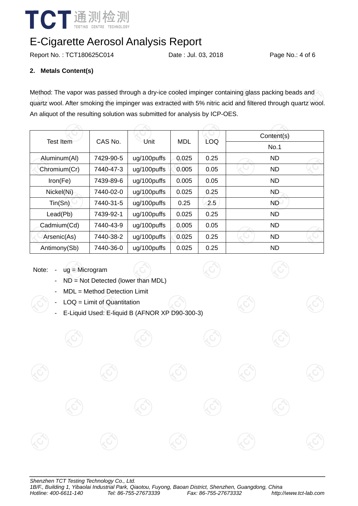

Report No.: TCT180625C014 Date : Jul. 03, 2018 Page No.: 4 of 6

### **2. Metals Content(s)**

Method: The vapor was passed through a dry-ice cooled impinger containing glass packing beads and quartz wool. After smoking the impinger was extracted with 5% nitric acid and filtered through quartz wool. An aliquot of the resulting solution was submitted for analysis by ICP-OES.

| <b>Test Item</b> |           | Unit        | <b>MDL</b> |            | Content(s) |  |  |
|------------------|-----------|-------------|------------|------------|------------|--|--|
|                  | CAS No.   |             |            | <b>LOQ</b> | No.1       |  |  |
| Aluminum(Al)     | 7429-90-5 | ug/100puffs | 0.025      | 0.25       | <b>ND</b>  |  |  |
| Chromium(Cr)     | 7440-47-3 | ug/100puffs | 0.005      | 0.05       | <b>ND</b>  |  |  |
| Iron(Fe)         | 7439-89-6 | ug/100puffs | 0.005      | 0.05       | <b>ND</b>  |  |  |
| Nickel(Ni)       | 7440-02-0 | ug/100puffs | 0.025      | 0.25       | <b>ND</b>  |  |  |
| Tin(Sn)          | 7440-31-5 | ug/100puffs | 0.25       | 2.5        | <b>ND</b>  |  |  |
| Lead(Pb)         | 7439-92-1 | ug/100puffs | 0.025      | 0.25       | <b>ND</b>  |  |  |
| Cadmium(Cd)      | 7440-43-9 | ug/100puffs | 0.005      | 0.05       | <b>ND</b>  |  |  |
| Arsenic(As)      | 7440-38-2 | ug/100puffs | 0.025      | 0.25       | <b>ND</b>  |  |  |
| Antimony(Sb)     | 7440-36-0 | ug/100puffs | 0.025      | 0.25       | <b>ND</b>  |  |  |

Note: - ug = Microgram

- ND = Not Detected (lower than MDL)
- MDL = Method Detection Limit
- $LOQ =$  Limit of Quantitation
- E-Liquid Used: E-liquid B (AFNOR XP D90-300-3)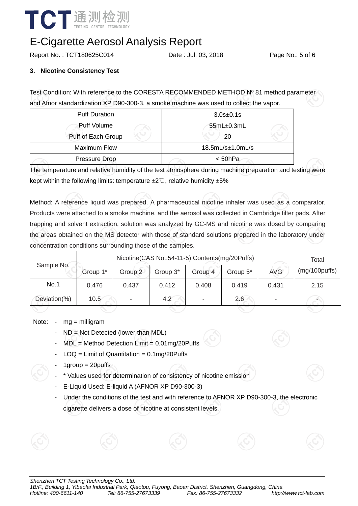

Report No. : TCT180625C014 Date : Jul. 03, 2018 Page No.: 5 of 6

### **3. Nicotine Consistency Test**

Test Condition: With reference to the CORESTA RECOMMENDED METHOD Nº 81 method parameter and Afnor standardization XP D90-300-3, a smoke machine was used to collect the vapor.

| <b>Puff Duration</b> | $3.0s \pm 0.1s$      |  |  |  |
|----------------------|----------------------|--|--|--|
| Puff Volume          | $55mL\pm0.3mL$       |  |  |  |
| Puff of Each Group   | 20                   |  |  |  |
| <b>Maximum Flow</b>  | $18.5mL/s\pm1.0mL/s$ |  |  |  |
| Pressure Drop        | < 50hPa              |  |  |  |

The temperature and relative humidity of the test atmosphere during machine preparation and testing were kept within the following limits: temperature  $\pm 2^{\circ}$ C, relative humidity  $\pm 5\%$ 

Method: A reference liquid was prepared. A pharmaceutical nicotine inhaler was used as a comparator. Products were attached to a smoke machine, and the aerosol was collected in Cambridge filter pads. After trapping and solvent extraction, solution was analyzed by GC-MS and nicotine was dosed by comparing the areas obtained on the MS detector with those of standard solutions prepared in the laboratory under concentration conditions surrounding those of the samples.

| Sample No.   | Nicotine(CAS No.:54-11-5) Contents(mg/20Puffs) |         |             |                          |          |            | Total         |
|--------------|------------------------------------------------|---------|-------------|--------------------------|----------|------------|---------------|
|              | Group 1*                                       | Group 2 | Group 3*    | Group 4                  | Group 5* | <b>AVG</b> | (mg/100puffs) |
| No.1         | 0.476                                          | 0.437   | 0.412       | 0.408                    | 0.419    | 0.431      | 2.15          |
| Deviation(%) | 10.5                                           | ٠       | $4.2^\circ$ | $\overline{\phantom{0}}$ | 2.6      |            |               |

Note: - mg = milligram

- ND = Not Detected (lower than MDL)
- MDL = Method Detection Limit = 0.01mg/20Puffs
- $\text{LOQ} = \text{Limit of Quantitation} = 0.1\text{mg}/20\text{Puffs}$
- $1$ group = 20puffs
- \* Values used for determination of consistency of nicotine emission
- E-Liquid Used: E-liquid A (AFNOR XP D90-300-3)
- Under the conditions of the test and with reference to AFNOR XP D90-300-3, the electronic cigarette delivers a dose of nicotine at consistent levels.